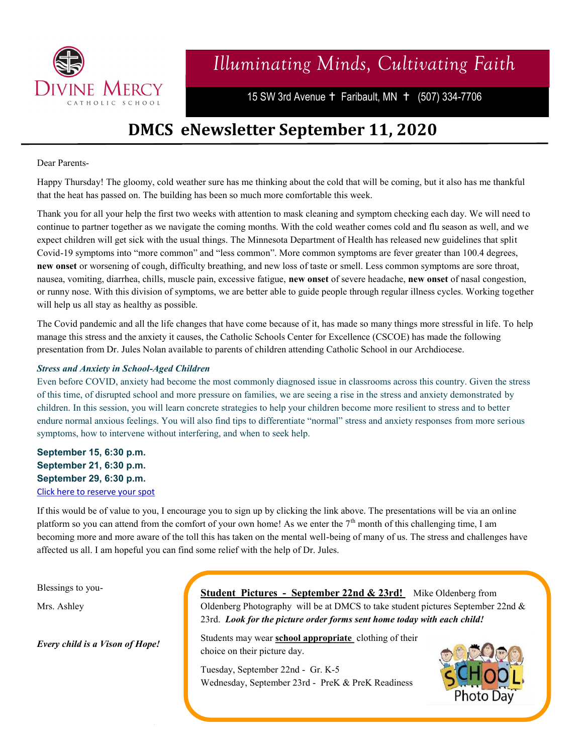

## *Illuminating Minds, Cultivating Faith*

15 SW 3rd Avenue + Faribault, MN + (507) 334-7706

### **DMCS eNewsletter September 11, 2020**

#### Dear Parents-

Happy Thursday! The gloomy, cold weather sure has me thinking about the cold that will be coming, but it also has me thankful that the heat has passed on. The building has been so much more comfortable this week.

Thank you for all your help the first two weeks with attention to mask cleaning and symptom checking each day. We will need to continue to partner together as we navigate the coming months. With the cold weather comes cold and flu season as well, and we expect children will get sick with the usual things. The Minnesota Department of Health has released new guidelines that split Covid-19 symptoms into "more common" and "less common". More common symptoms are fever greater than 100.4 degrees, **new onset** or worsening of cough, difficulty breathing, and new loss of taste or smell. Less common symptoms are sore throat, nausea, vomiting, diarrhea, chills, muscle pain, excessive fatigue, **new onset** of severe headache, **new onset** of nasal congestion, or runny nose. With this division of symptoms, we are better able to guide people through regular illness cycles. Working together will help us all stay as healthy as possible.

The Covid pandemic and all the life changes that have come because of it, has made so many things more stressful in life. To help manage this stress and the anxiety it causes, the Catholic Schools Center for Excellence (CSCOE) has made the following presentation from Dr. Jules Nolan available to parents of children attending Catholic School in our Archdiocese.

#### *Stress and Anxiety in School-Aged Children*

Even before COVID, anxiety had become the most commonly diagnosed issue in classrooms across this country. Given the stress of this time, of disrupted school and more pressure on families, we are seeing a rise in the stress and anxiety demonstrated by children. In this session, you will learn concrete strategies to help your children become more resilient to stress and to better endure normal anxious feelings. You will also find tips to differentiate "normal" stress and anxiety responses from more serious symptoms, how to intervene without interfering, and when to seek help.

**September 15, 6:30 p.m. September 21, 6:30 p.m. September 29, 6:30 p.m.** [Click here to reserve your spot](https://cscoe-mn.us11.list-manage.com/track/click?u=43c00ecfbde702825d6d02f0e&id=7c4fbe6b4c&e=83a6ba56a2)

If this would be of value to you, I encourage you to sign up by clicking the link above. The presentations will be via an online platform so you can attend from the comfort of your own home! As we enter the  $7<sup>th</sup>$  month of this challenging time, I am becoming more and more aware of the toll this has taken on the mental well-being of many of us. The stress and challenges have affected us all. I am hopeful you can find some relief with the help of Dr. Jules.

Blessings to you-

Mrs. Ashley

*Every child is a Vison of Hope!*

**Student Pictures - September 22nd & 23rd!** Mike Oldenberg from Oldenberg Photography will be at DMCS to take student pictures September 22nd & 23rd. *Look for the picture order forms sent home today with each child!* 

Students may wear **school appropriate** clothing of their choice on their picture day.

Tuesday, September 22nd - Gr. K-5 Wednesday, September 23rd - PreK & PreK Readiness